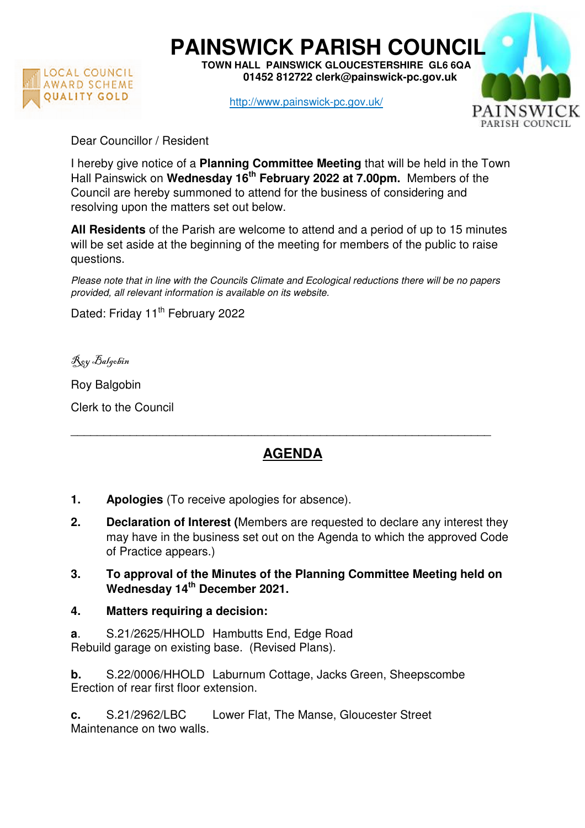

**PAINSWICK PARISH COUNCIL TOWN HALL PAINSWICK GLOUCESTERSHIRE GL6 6QA** 

 **01452 812722 clerk@painswick-pc.gov.uk** 

http://www.painswick-pc.gov.uk/



Dear Councillor / Resident

I hereby give notice of a **Planning Committee Meeting** that will be held in the Town Hall Painswick on **Wednesday 16th February 2022 at 7.00pm.** Members of the Council are hereby summoned to attend for the business of considering and resolving upon the matters set out below.

**All Residents** of the Parish are welcome to attend and a period of up to 15 minutes will be set aside at the beginning of the meeting for members of the public to raise questions.

Please note that in line with the Councils Climate and Ecological reductions there will be no papers provided, all relevant information is available on its website.

Dated: Friday 11<sup>th</sup> February 2022

Roy Balgobin

Roy Balgobin

Clerk to the Council

## **AGENDA**

\_\_\_\_\_\_\_\_\_\_\_\_\_\_\_\_\_\_\_\_\_\_\_\_\_\_\_\_\_\_\_\_\_\_\_\_\_\_\_\_\_\_\_\_\_\_\_\_\_\_\_\_\_\_\_\_\_\_\_\_\_\_\_\_

- **1. Apologies** (To receive apologies for absence).
- **2. Declaration of Interest (**Members are requested to declare any interest they may have in the business set out on the Agenda to which the approved Code of Practice appears.)
- **3. To approval of the Minutes of the Planning Committee Meeting held on Wednesday 14th December 2021.**

## **4. Matters requiring a decision:**

**a**. S.21/2625/HHOLD Hambutts End, Edge Road Rebuild garage on existing base. (Revised Plans).

**b.** S.22/0006/HHOLD Laburnum Cottage, Jacks Green, Sheepscombe Erection of rear first floor extension.

**c.** S.21/2962/LBC Lower Flat, The Manse, Gloucester Street Maintenance on two walls.